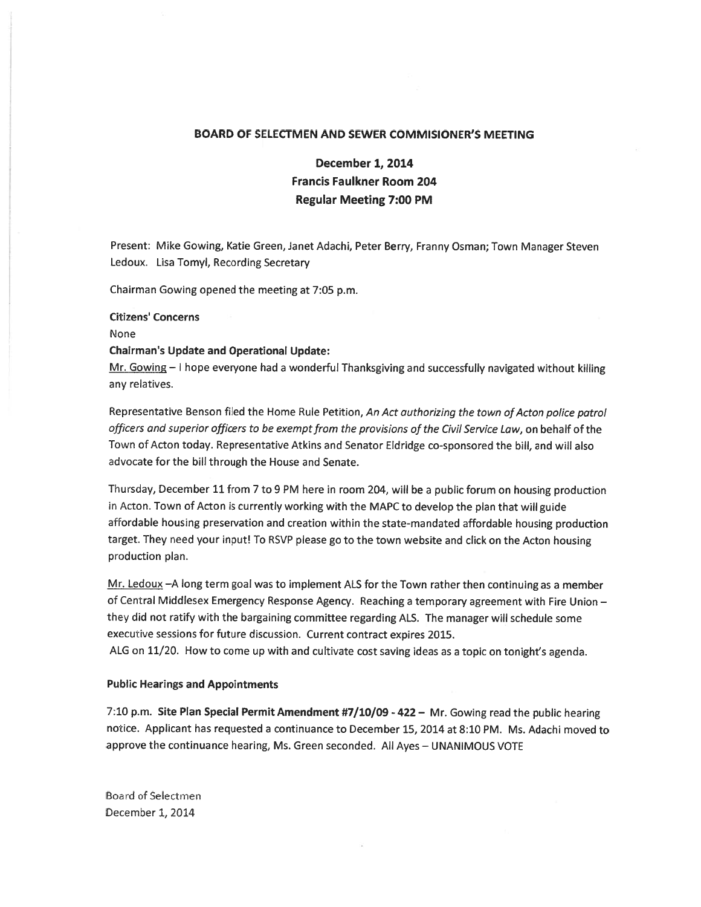### BOARD OF SELECTMEN AND SEWER COMMISIONER'S MEETING

# December 1, 2014 Francis Faulkner Room 204 Regular Meeting 7:00 PM

Present: Mike Gowing, Katie Green, Janet Adachi, Peter Berry, Franny Osman; Town Manager Steven Ledoux. Lisa Tomyl, Recording Secretary

Chairman Gowing opened the meeting at 7:05 p.m.

#### Citizens' Concerns

None

#### Chairman's Update and Operational Update:

Mr. Gowing  $-1$  hope everyone had a wonderful Thanksgiving and successfully navigated without killing any relatives.

Representative Benson filed the Home Rule Petition, An Act authorizing the town of Acton police patrol officers and superior officers to be exempt from the provisions of the Civil Service Law, on behalf of the Town of Acton today. Representative Atkins and Senator Eldridge co-sponsored the bill, and will also advocate for the bill through the House and Senate.

Thursday, December 11 from 7 to 9 PM here in room 204, will be a public forum on housing production in Acton. Town of Acton is currently working with the MAPC to develop the plan that will guide affordable housing preservation and creation within the state-mandated affordable housing production target. They need your input! To RSVP <sup>p</sup>lease go to the town website and click on the Acton housing production plan.

Mr. Ledoux  $-A$  long term goal was to implement ALS for the Town rather then continuing as a member of Central Middlesex Emergency Response Agency. Reaching <sup>a</sup> temporary agreemen<sup>t</sup> with Fire Union they did not ratify with the bargaining committee regarding ALS. The manager will schedule some executive sessions for future discussion. Current contract expires 2015. ALG on 11/20. How to come up with and cultivate cost saving ideas as <sup>a</sup> topic on tonight's agenda.

## Public Hearings and Appointments

7:10 p.m. Site Plan Special Permit Amendment #7/10/09 - 422 - Mr. Gowing read the public hearing notice. Applicant has requested <sup>a</sup> continuance to December 15, 2014 at 8:10 PM. Ms. Adachi moved to approve the continuance hearing, Ms. Green seconded. All Ayes — UNANIMOUS VOTE

Board of Selectmen December 1, 2014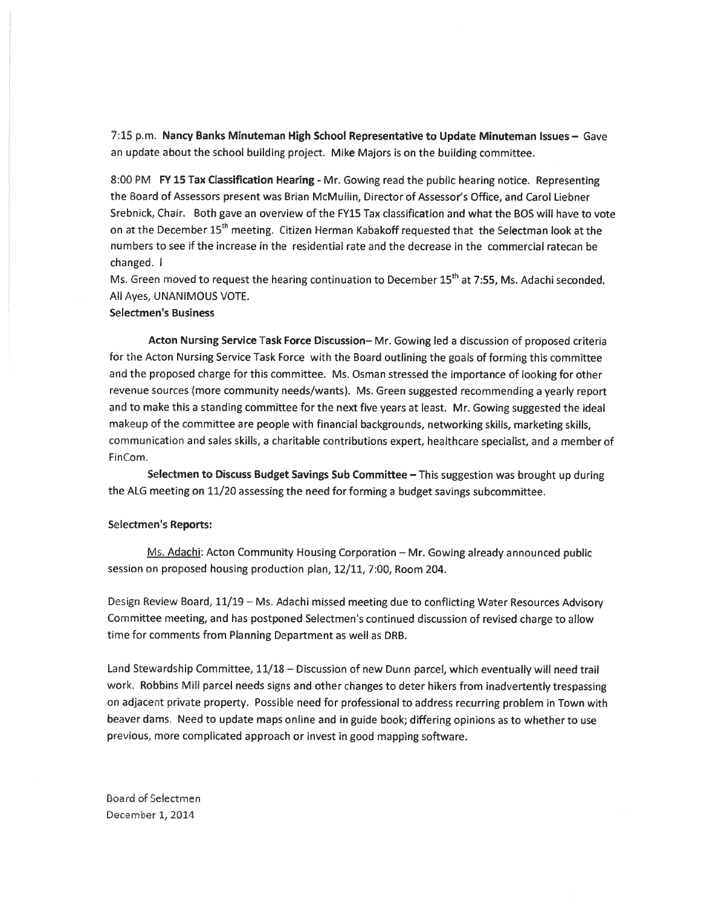7:15 p.m. Nancy Banks Minuteman High School Representative to Update Minuteman Issues — Gave an update about the school building project. Mike Majors is on the building committee.

8:00 PM FY 15 Tax Classification Hearing - Mr. Gowing read the public hearing notice. Representing the Board of Assessors presen<sup>t</sup> was Brian McMullin, Director of Assessor's Office, and Carol Liebner Srebnick, Chair. Both gave an overview of the FY15 Tax classification and what the BOS will have to vote on at the December 15<sup>th</sup> meeting. Citizen Herman Kabakoff requested that the Selectman look at the numbers to see if the increase in the residential rate and the decrease in the commercial ratecan be changed.

Ms. Green moved to request the hearing continuation to December 15<sup>th</sup> at 7:55, Ms. Adachi seconded. All Ayes, UNANiMOUS VOTE.

#### Selectmen's Business

Acton Nursing Service Task Force Discussion— Mr. Gowing led <sup>a</sup> discussion of proposed criteria for the Acton Nursing Service Task Force with the Board outlining the goals of forming this committee ano the propose<sup>d</sup> charge for this committee. Ms. Osman stressed the importance of looking for other revenue sources (more community needs/wants). Ms. Green suggested recommending <sup>a</sup> yearly repor<sup>t</sup> and to make this <sup>a</sup> standing committee for the next five years at least. Mr. Gowing suggested the ideal makeup of the committee are people with financial backgrounds, networking skills, marketing skills, communication and sales skills, a charitable contributions expert, healthcare specialist, and a member of FinCom.

Selectmen to Discuss Budget Savings Sub Committee – This suggestion was brought up during the ALG meeting on 11/20 assessing the need for forming <sup>a</sup> budget savings subcommittee.

#### Selectmen's Reports:

Ms. Adachi: Acton Community Housing Corporation — Mr. Gowing already announced public session on proposed housing production plan, 12/11, 7:00, Room 204.

Desgn Review Soard, 11/19 — Ms. Adachi missed meeting due to conflicting Water Resources Advisory Committee meeting, and has postponed Selectmen's continued discussion of revised charge to allow time for comments from Planning Department as well as DRB.

Land Stewardship Committee, 11/18 — Discussion of new Dunn parcel, which eventually will need trail work. Robbins Mill parce<sup>l</sup> needs signs and other changes to deter hikers from inadvertently trespassing on adjacent private property. Possible need for professional to address recurring problem in Town with beaver dams. Need to update maps online and in guide book; differing opinions as to whether to use previous, more complicated approac<sup>h</sup> or invest in good mapping software.

board of Seiectmen December 1, 2014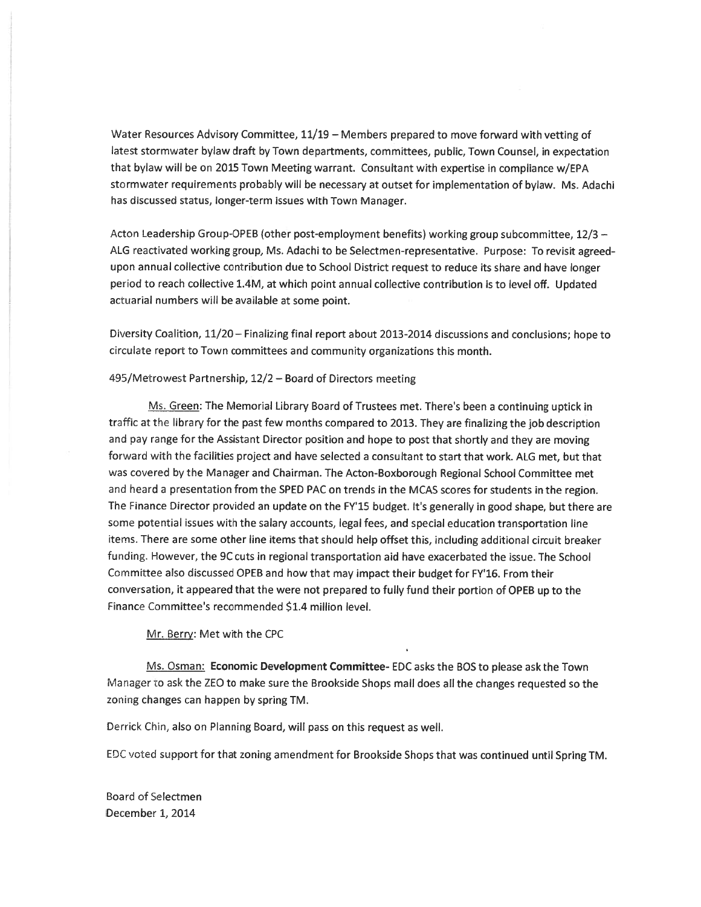Water Resources Advisory Committee, 11/19 — Members prepared to move forward with vetting of latest stormwater bylaw draft by Town departments, committees, public, Town Counsel, in expectation that bylaw will be on 2015 Town Meeting warrant. Consultant with expertise in compliance w/EPA stcrmwater requirements probably will be necessary at outset for implementation of bylaw. Ms. Adachi has discussed status, longer-term issues with Town Manager.

Acton Leadership Group-OPEB (other post-employment benefits) working group subcommittee,  $12/3 -$ ALG reactivated working group, Ms. Adachi to be Selectmen-representative. Purpose: To revisit agreedupon annual coilective contribution due to School District reques<sup>t</sup> to reduce its share and have longer period to reach collective 1.4M, at which point annual collective contribution is to level off. Updated actuarial numbers will be available at some point.

Diversity Coalition, 11/20 – Finalizing final report about 2013-2014 discussions and conclusions; hope to circulate repor<sup>t</sup> to Town committees and community organizations this month.

#### 495/Metrowest Partnership,  $12/2$  – Board of Directors meeting

Ms. Green: The Memorial Library Board of Trustees met. There's been a continuing uptick in traffic at the ibrary for the pas<sup>t</sup> few months compare<sup>d</sup> to 2013. They are finalizing the job description and pay range for the Assistant Director position and hope to pos<sup>t</sup> that shortly and they are moving forward with the facilities project and have selected <sup>a</sup> consultant to start that work. ALG met, but that was covered by the Manager and Chairman. The Acton-Boxborough Regional School Committee met and heard <sup>a</sup> presentation from the SPED PAC on trends in the MCAS scores for students in the region. The Finance Director provided an update on the FY15 budget. It's generally in goo<sup>d</sup> shape, but there are some potential issues with the salary accounts, legal fees, and special education transportation line items. There are some other line items that should help offset this, including additional circuit breaker funding. However, the 9C cuts in regional transportation aid have exacerbated the issue. The School Committee aiso discussed OPEB and how that may impact their budget for FY'16. From their conversation, it appeare<sup>d</sup> that the were not prepare<sup>d</sup> to fully fund their portion of OPEB up to the Finance Committee's recommended \$1.4 million level.

Mr. Berry: Met with the CPC

Ms. Osman: Economic Development Committee- EDC asks the BOS to <sup>p</sup>lease ask the Town Manager to ask the ZEO to make sure the Brookside Shops mall does all the changes requested so the zoning changes can happen by spring TM.

Derrick Chin, also on Planning Board, will pass on this reques<sup>t</sup> as well.

EDC voted suppor<sup>t</sup> for that zoning amendment for Brookside Shops that was continued until Spring TM.

Board of Seiectmen 1, 201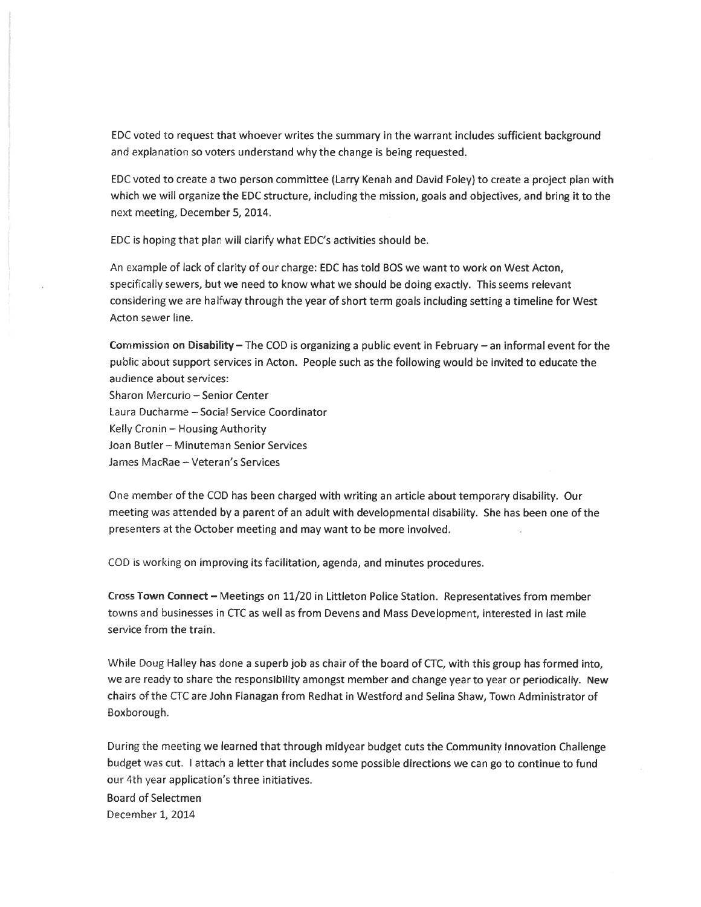EDC voted to reques<sup>t</sup> that whoever writes the summary in the warrant includes sufficient background and explanation so voters understand why the change is being requested.

EC voted to create <sup>a</sup> two person committee (Larry Kenah and David Foley) to create <sup>a</sup> project plan with which we will organize the EDC structure, including the mission, goals and objectives, and bring it to the next meeting, December 5, 2014.

EDC is hoping that plan will clarify what EDC's activities should be.

An example of lack of clarity of our charge: EDC has told BOS we want to work on West Acton, specifically sewers, but we need to know what we should be doing exactly. This seems relevant considering we are halfway through the year of short term goals including setting <sup>a</sup> timeline for West Acton sewer line.

Commission on Disability – The COD is organizing a public event in February – an informal event for the public about support services in Acton. People such as the following would be invited to educate the audience about services:

Sharon Mercurio - Senior Center Laura Ducharrne — Social Service Coordinator Kelly Cronin — Housing Authority Joan Butler — Minuteman Senior Services James MacRae - Veteran's Services

One member of rhe COD has been charged with writing an article about temporary disability. Our meeting was attended by <sup>a</sup> paren<sup>t</sup> of an adult with developmental disability. She has been one of the presenters at the October meeting and may want to be more involved.

COD is working on improving its facilitation, agenda, and minutes procedures.

Cross Town Connect — Meetings on 11/20 in Littleton Police Station. Representatives from member towns and businesses in CTC as well as from Devens and Mass Development, interested in last mile service from the train.

While Doug Halley has done <sup>a</sup> super<sup>b</sup> job as chair of the board of CTC, with this group has formed into, we are reedy to share the responsibility amongs<sup>t</sup> member and change year to year or periodically. New chairs of the CIC are John Flanagan from Redhat in Westford and Selina Shaw, Town Administrator of Boxborough.

During the meeting we learned that through midyear budget cuts the Community Innovation Challenge budget was cut. I attach a letter that includes some possible directions we can go to continue to fund our 4th year application's three initiatives. Board of Selectmen

December 1, 2014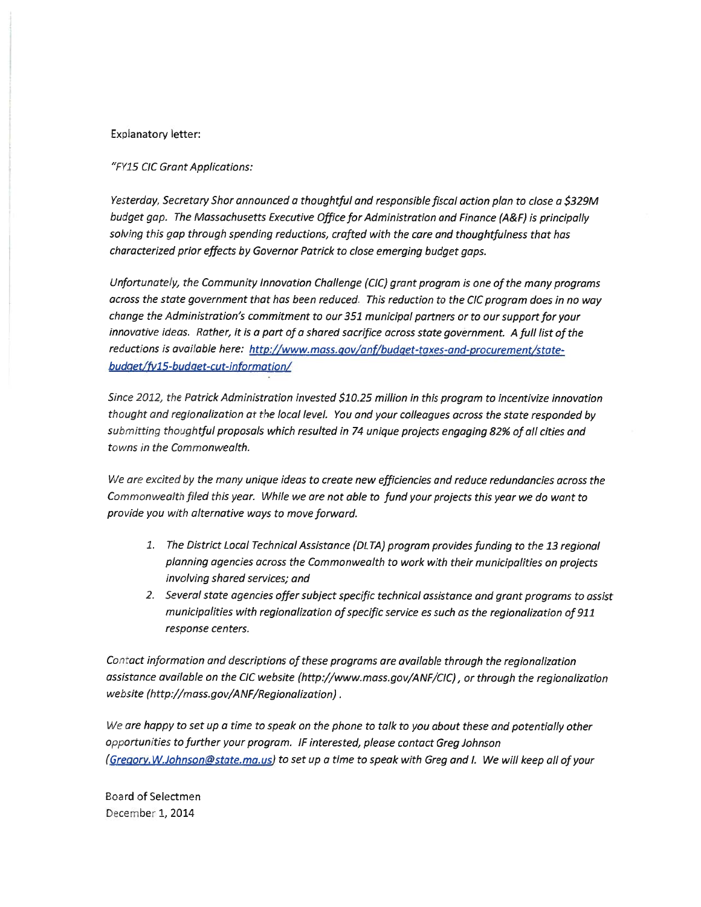### Explanatory letter:

"FY15 CIC Grant Applications:

Yesterday, Secretary Shor announced <sup>a</sup> thoughtful and responsible fiscal action <sup>p</sup>lan to close <sup>a</sup> \$329M budget gap. The Massachusetts Executive Office for Administration and Finance (A&F) is principally solving this gap through spending reductions, crafted with the care and thoughtfulness that has characterized prior effects by Governor Patrick to close emerging budget gaps.

Unfortunately, the Community Innovation Challenge (CIC) grant program is one of the many programs across the state government that has been reduced. This reduction to the CIC program does in no way change the Administration's commitment to our 351 municipal partners or to our support for your innovative ideas. Rather, it is <sup>a</sup> par<sup>t</sup> of <sup>a</sup> shared sacrifice across state government. <sup>A</sup> full list of the reductions is available here: http://www.mass. gov/anf/budget-taxes-and-procurement/statebudget/fy15-budget-cut-information/

Since 2012, the Patrick Administration invested \$10.25 million in this program to incentivize innovation thought and regionalization at the local level. You and your colleagues across the state responded by submitting thoughtful proposals which resulted in 74 unique projects engaging 82% of all cities and towns in the Commonwealth.

Vie are excited by the many unique ideas to create new efficiencies and reduce redundancies across the Commonwealth filed this year. While we are not able to fund your projects this year we do want to provide you with alternative ways to move forward.

- 1. The District Local Technical Assistance (DLTA) program provides funding to the 13 regional <sup>p</sup>lanning agencies across the Commonwealth to work with their municipalities on projects involving shared services; and
- 2. Several state agencies offer subject specific technical assistance and gran<sup>t</sup> programs to assist municipalities with regionalization of specific service es such as the regionalization of 911 response centers.

Contact information and descriptions of these programs are available through the regionalization assistance available on the CIC website (http://www.mass.gov/ANF/CIC), or through the regionalization website (http://mass.gov/ANF/Regionalization).

We are happy to set up a time to speak on the phone to talk to you about these and potentially other opportunities to further your program. IF interested, please contact Greg Johnson (Gregory. W.Johnson@state.ma.us) to set up a time to speak with Greg and I. We will keep all of your

Board of Selectmen December 1, 2014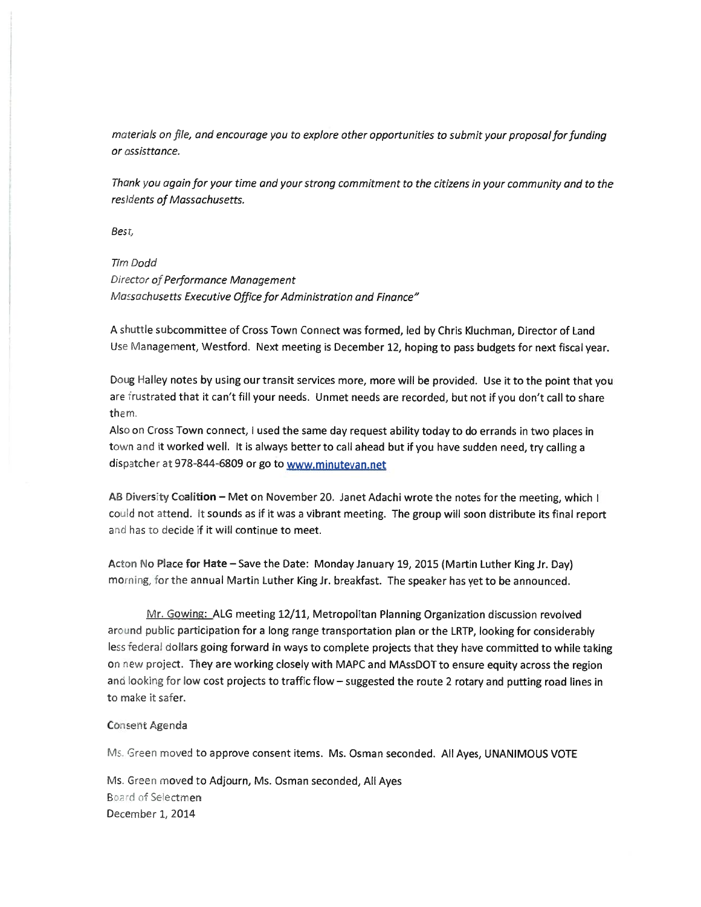materials on file, and encourage you to explore other opportunities to submit your proposal for funding or ossisttance.

Thank you again for your time and your strong commitment to the citizens in your community and to the residents of Massachusetts.

Best,

# Tim Dodd

Director of Performance Management Massachusetts Executive Office for Administration and Finance"

A shuttle subcommittee of Cross Town Connect was formed, led by Chris Kluchman, Director of Land Use Management, Westford. Next meeting is December 12, hoping to pass budgets for next fiscal year.

Doug Halley notes by using our transit services more, more will be provided. Use it to the point that you are frustrated that it can't fill your needs. Unmet needs are recorded, but not if you don't call to share them.

Asc on Cross Town connect, <sup>I</sup> used the same day reques<sup>t</sup> ability today to do errands in two <sup>p</sup>laces in town and it worked well. It is always better to call ahead but if you have sudden need, try calling a dispatcher at 978-844-6809 or go to www.minutevan.net

AB Diversity Coalition – Met on November 20. Janet Adachi wrote the notes for the meeting, which I could not attend. It sounds as if it was a vibrant meeting. The group will soon distribute its final report and has to decide if it will continue to meet.

Acton No Place for Hate - Save the Date: Monday January 19, 2015 (Martin Luther King Jr. Day) morning, for the annual Martin Luther King Jr. breakfast. The speaker has yet to be announced.

Mr. Gowing: ALG meeting 12/11, Metropolitan Planning Organization discussion revolved around public participation for a long range transportation plan or the LRTP, looking for considerably less federal dollars going forward in ways to complete projects that they have committed to while taking on new project. They are working closely with MAPC and MAssDOT to ensure equity across the region and looking for low cost projects to traffic flow – suggested the route 2 rotary and putting road lines in to make it safer.

#### Consent Agenda

Ms. Green moved to approve consent items. Ms. Osman seconded. All Ayes, UNANIMOUS VOTE

Ms. Greer moved to Adjourn, Ms. Osman seconded, All Ayes Board of Selectmen December 1, 2014